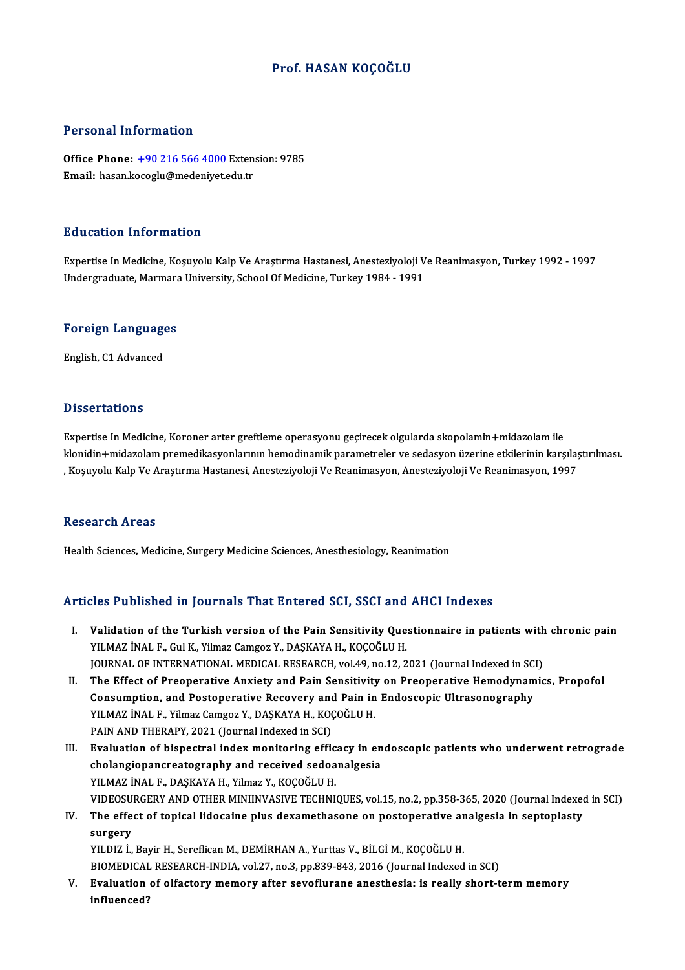### Prof.HASAN KOÇOĞLU

#### Personal Information

Personal Information<br>Office Phone: <u>+90 216 566 4000</u> Extension: 9785<br>Email: basen keeegly@medeniyet.edu.tr er orbonar medension.<br>Office Phone: <u>+90 216 566 4000</u> Exten<br>Email: hasan.k[ocoglu@medeniyet.e](tel:+90 216 566 4000)du.tr Email: hasan.kocoglu@medeniyet.edu.tr<br>Education Information

E**ducation Information**<br>Expertise In Medicine, Koşuyolu Kalp Ve Araştırma Hastanesi, Anesteziyoloji Ve Reanimasyon, Turkey 1992 - 1997<br>Undergraduate Marmara University, School Of Medicine, Turkey 1994, 1991 Buusution Tinonniacion<br>Expertise In Medicine, Koşuyolu Kalp Ve Araştırma Hastanesi, Anesteziyoloji V<br>Undergraduate, Marmara University, School Of Medicine, Turkey 1984 - 1991

# <sub>ondergraduate, marmara<br>Foreign Languages</sub> <mark>Foreign Language</mark><br>English, C1 Advanced

English, C1 Advanced<br>Dissertations

Expertise In Medicine, Koroner arter greftleme operasyonu geçirecek olgularda skopolamin+midazolam ile klonidin+midazolam premedikasyonlarının hemodinamik parametreler ve sedasyon üzerine etkilerinin karşılaştırılması. , Koşuyolu Kalp Ve Araştırma Hastanesi, Anesteziyoloji Ve Reanimasyon, Anesteziyoloji Ve Reanimasyon, 1997

#### Research Areas

Health Sciences, Medicine, Surgery Medicine Sciences, Anesthesiology, Reanimation

#### Articles Published in Journals That Entered SCI, SSCI and AHCI Indexes

- I. Validation of the Turkish version of the Pain Sensitivity Questionnaire in patients with chronic pain<br>I. Validation of the Turkish version of the Pain Sensitivity Questionnaire in patients with chronic pain YILMAZ İNAL F., Gul K., Yilmaz Camgoz Y., DAŞKAYA H., KOÇOĞLU H.<br>YILMAZ İNAL F., Gul K., Yilmaz Camgoz Y., DAŞKAYA H., KOÇOĞLU H.<br>JOUPMAL OF INTERNATIONAL MEDICAL RESEARCH .val.40, P.9.12, 2 Validation of the Turkish version of the Pain Sensitivity Questionnaire in patients with<br>YILMAZ İNAL F., Gul K., Yilmaz Camgoz Y., DAŞKAYA H., KOÇOĞLU H.<br>JOURNAL OF INTERNATIONAL MEDICAL RESEARCH, vol.49, no.12, 2021 (Jour YILMAZ İNAL F., Gul K., Yilmaz Camgoz Y., DAŞKAYA H., KOÇOĞLU H.<br>JOURNAL OF INTERNATIONAL MEDICAL RESEARCH, vol.49, no.12, 2021 (Journal Indexed in SCI)<br>II. The Effect of Preoperative Anxiety and Pain Sensitivity on Preope
- JOURNAL OF INTERNATIONAL MEDICAL RESEARCH, vol.49, no.12, 2021 (Journal Indexed in SC<br>The Effect of Preoperative Anxiety and Pain Sensitivity on Preoperative Hemodynam<br>Consumption, and Postoperative Recovery and Pain in En The Effect of Preoperative Anxiety and Pain Sensitivity<br>Consumption, and Postoperative Recovery and Pain in<br>YILMAZ İNAL F., Yilmaz Camgoz Y., DAŞKAYA H., KOÇOĞLU H.<br>PAIN AND TUEPAPY 2021 (Journal Indoved in SCD) Consumption, and Postoperative Recovery and Pain in Endoscopic Ultrasonography<br>YILMAZ İNAL F., Yilmaz Camgoz Y., DAŞKAYA H., KOÇOĞLU H.<br>PAIN AND THERAPY, 2021 (Journal Indexed in SCI) YILMAZ İNAL F., Yilmaz Camgoz Y., DAŞKAYA H., KOÇOĞLU H.<br>PAIN AND THERAPY, 2021 (Journal Indexed in SCI)<br>III. Evaluation of bispectral index monitoring efficacy in endoscopic patients who underwent retrograde<br>chalangionang
- PAIN AND THERAPY, 2021 (Journal Indexed in SCI)<br>Evaluation of bispectral index monitoring efficacy in en<br>cholangiopancreatography and received sedoanalgesia<br>VILMAZ INALE, DASKAYA H. Vilmaz V. KOCOČLU H Evaluation of bispectral index monitoring effic<br>cholangiopancreatography and received sedoa<br>YILMAZ İNAL F., DAŞKAYA H., Yilmaz Y., KOÇOĞLU H.<br>VIDEOSURCERY AND OTHER MINIJNYASIVE TECHNI cholangiopancreatography and received sedoanalgesia<br>YILMAZ İNAL F., DAŞKAYA H., Yilmaz Y., KOÇOĞLU H.<br>VIDEOSURGERY AND OTHER MINIINVASIVE TECHNIQUES, vol.15, no.2, pp.358-365, 2020 (Journal Indexed in SCI)<br>The effect of te YILMAZ İNAL F., DAŞKAYA H., Yilmaz Y., KOÇOĞLU H.<br>VIDEOSURGERY AND OTHER MINIINVASIVE TECHNIQUES, vol.15, no.2, pp.358-365, 2020 (Journal Indexed<br>IV. The effect of topical lidocaine plus dexamethasone on postoperative anal

## **VIDEOSU**<br>The effe<br>surgery<br>vu DIZ i The effect of topical lidocaine plus dexamethasone on postoperative ar<br>surgery<br>YILDIZ İ., Bayir H., Sereflican M., DEMİRHAN A., Yurttas V., BİLGİ M., KOÇOĞLU H.<br>BIOMEDICAL RESEARCH INDIA .vol 37 no 3 nn 939 943 2016 (Journ

surgery<br>YILDIZ İ., Bayir H., Sereflican M., DEMİRHAN A., Yurttas V., BİLGİ M., KOÇOĞLU H.<br>BIOMEDICAL RESEARCH-INDIA, vol.27, no.3, pp.839-843, 2016 (Journal Indexed in SCI)<br>Fyalustian of alfastary memory after seveflurane

YILDIZ İ., Bayir H., Sereflican M., DEMİRHAN A., Yurttas V., BİLGİ M., KOÇOĞLU H.<br>BIOMEDICAL RESEARCH-INDIA, vol.27, no.3, pp.839-843, 2016 (Journal Indexed in SCI)<br>V. Evaluation of olfactory memory after sevoflurane a BIOMEDICAL<br>Evaluation<br>influenced?